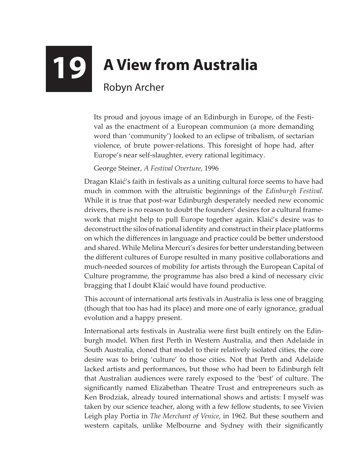## **19 A View from Australia** Robyn Archer

Its proud and joyous image of an Edinburgh in Europe, of the Festival as the enactment of a European communion (a more demanding word than 'community') looked to an eclipse of tribalism, of sectarian violence, of brute power-relations. This foresight of hope had, after Europe's near self-slaughter, every rational legitimacy.

George Steiner, *A Festival Overture*, 1996

Dragan Klaić's faith in festivals as a uniting cultural force seems to have had much in common with the altruistic beginnings of the *Edinburgh Festival*. While it is true that post-war Edinburgh desperately needed new economic drivers, there is no reason to doubt the founders' desires for a cultural framework that might help to pull Europe together again. Klaić's desire was to deconstruct the silos of national identity and construct in their place platforms on which the differences in language and practice could be better understood and shared. While Melina Mercuri's desires for better understanding between the different cultures of Europe resulted in many positive collaborations and much-needed sources of mobility for artists through the European Capital of Culture programme, the programme has also bred a kind of necessary civic bragging that I doubt Klaić would have found productive.

This account of international arts festivals in Australia is less one of bragging (though that too has had its place) and more one of early ignorance, gradual evolution and a happy present.

International arts festivals in Australia were first built entirely on the Edinburgh model. When first Perth in Western Australia, and then Adelaide in South Australia, cloned that model to their relatively isolated cities, the core desire was to bring 'culture' to those cities. Not that Perth and Adelaide lacked artists and performances, but those who had been to Edinburgh felt that Australian audiences were rarely exposed to the 'best' of culture. The significantly named Elizabethan Theatre Trust and entrepreneurs such as Ken Brodziak, already toured international shows and artists: I myself was taken by our science teacher, along with a few fellow students, to see Vivien Leigh play Portia in *The Merchant of Venice*, in 1962. But these southern and western capitals, unlike Melbourne and Sydney with their significantly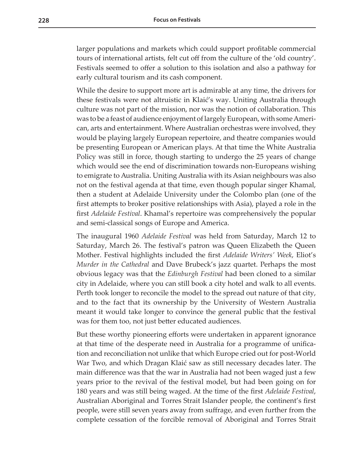larger populations and markets which could support profitable commercial tours of international artists, felt cut off from the culture of the 'old country'. Festivals seemed to offer a solution to this isolation and also a pathway for early cultural tourism and its cash component.

While the desire to support more art is admirable at any time, the drivers for these festivals were not altruistic in Klaić's way. Uniting Australia through culture was not part of the mission, nor was the notion of collaboration. This was to be a feast of audience enjoyment of largely European, with some American, arts and entertainment. Where Australian orchestras were involved, they would be playing largely European repertoire, and theatre companies would be presenting European or American plays. At that time the White Australia Policy was still in force, though starting to undergo the 25 years of change which would see the end of discrimination towards non-Europeans wishing to emigrate to Australia. Uniting Australia with its Asian neighbours was also not on the festival agenda at that time, even though popular singer Khamal, then a student at Adelaide University under the Colombo plan (one of the first attempts to broker positive relationships with Asia), played a role in the first *Adelaide Festival*. Khamal's repertoire was comprehensively the popular and semi-classical songs of Europe and America.

The inaugural 1960 *Adelaide Festival* was held from Saturday, March 12 to Saturday, March 26. The festival's patron was Queen Elizabeth the Queen Mother. Festival highlights included the first *Adelaide Writers' Week*, Eliot's *Murder in the Cathedral* and Dave Brubeck's jazz quartet. Perhaps the most obvious legacy was that the *Edinburgh Festival* had been cloned to a similar city in Adelaide, where you can still book a city hotel and walk to all events. Perth took longer to reconcile the model to the spread out nature of that city, and to the fact that its ownership by the University of Western Australia meant it would take longer to convince the general public that the festival was for them too, not just better educated audiences.

But these worthy pioneering efforts were undertaken in apparent ignorance at that time of the desperate need in Australia for a programme of unification and reconciliation not unlike that which Europe cried out for post-World War Two, and which Dragan Klaić saw as still necessary decades later. The main difference was that the war in Australia had not been waged just a few years prior to the revival of the festival model, but had been going on for 180 years and was still being waged. At the time of the first *Adelaide Festival*, Australian Aboriginal and Torres Strait Islander people, the continent's first people, were still seven years away from suffrage, and even further from the complete cessation of the forcible removal of Aboriginal and Torres Strait